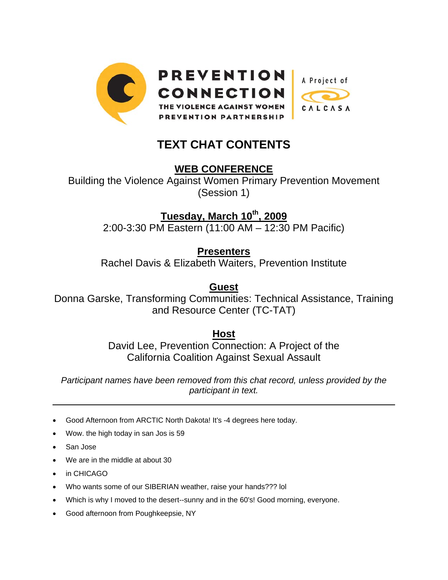

## **TEXT CHAT CONTENTS**

## **WEB CONFERENCE**

Building the Violence Against Women Primary Prevention Movement (Session 1)

**Tuesday, March 10th, 2009**

2:00-3:30 PM Eastern (11:00 AM – 12:30 PM Pacific)

**Presenters**

Rachel Davis & Elizabeth Waiters, Prevention Institute

**Guest**

Donna Garske, Transforming Communities: Technical Assistance, Training and Resource Center (TC-TAT)

**Host**

David Lee, Prevention Connection: A Project of the California Coalition Against Sexual Assault

*Participant names have been removed from this chat record, unless provided by the participant in text.* 

- Good Afternoon from ARCTIC North Dakota! It's -4 degrees here today.
- Wow. the high today in san Jos is 59
- San Jose

 $\overline{a}$ 

- We are in the middle at about 30
- in CHICAGO
- Who wants some of our SIBERIAN weather, raise your hands??? lol
- Which is why I moved to the desert--sunny and in the 60's! Good morning, everyone.
- Good afternoon from Poughkeepsie, NY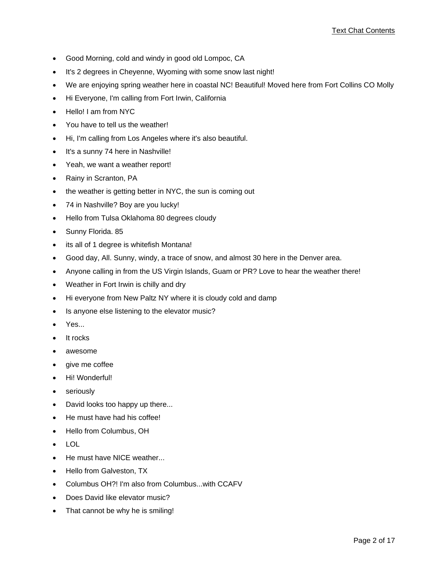- Good Morning, cold and windy in good old Lompoc, CA
- It's 2 degrees in Cheyenne, Wyoming with some snow last night!
- We are enjoying spring weather here in coastal NC! Beautiful! Moved here from Fort Collins CO Molly
- Hi Everyone, I'm calling from Fort Irwin, California
- Hello! I am from NYC
- You have to tell us the weather!
- Hi, I'm calling from Los Angeles where it's also beautiful.
- It's a sunny 74 here in Nashville!
- Yeah, we want a weather report!
- Rainy in Scranton, PA
- the weather is getting better in NYC, the sun is coming out
- 74 in Nashville? Boy are you lucky!
- Hello from Tulsa Oklahoma 80 degrees cloudy
- Sunny Florida. 85
- its all of 1 degree is whitefish Montana!
- Good day, All. Sunny, windy, a trace of snow, and almost 30 here in the Denver area.
- Anyone calling in from the US Virgin Islands, Guam or PR? Love to hear the weather there!
- Weather in Fort Irwin is chilly and dry
- Hi everyone from New Paltz NY where it is cloudy cold and damp
- Is anyone else listening to the elevator music?
- Yes...
- It rocks
- awesome
- give me coffee
- Hi! Wonderful!
- seriously
- David looks too happy up there...
- He must have had his coffee!
- Hello from Columbus, OH
- LOL
- He must have NICE weather...
- Hello from Galveston, TX
- Columbus OH?! I'm also from Columbus...with CCAFV
- Does David like elevator music?
- That cannot be why he is smiling!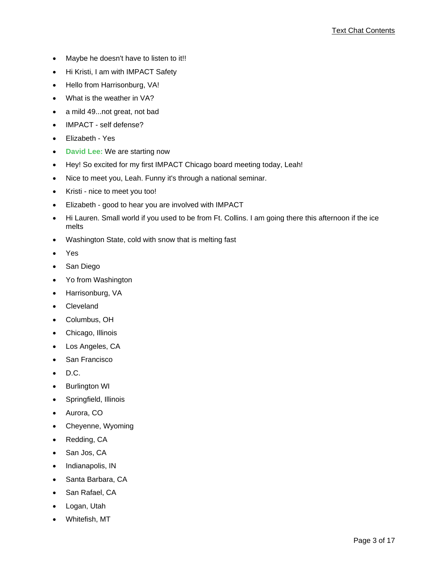- Maybe he doesn't have to listen to it!!
- Hi Kristi, I am with IMPACT Safety
- Hello from Harrisonburg, VA!
- What is the weather in VA?
- a mild 49...not great, not bad
- IMPACT self defense?
- Elizabeth Yes
- **David Lee:** We are starting now
- Hey! So excited for my first IMPACT Chicago board meeting today, Leah!
- Nice to meet you, Leah. Funny it's through a national seminar.
- Kristi nice to meet you too!
- Elizabeth good to hear you are involved with IMPACT
- Hi Lauren. Small world if you used to be from Ft. Collins. I am going there this afternoon if the ice melts
- Washington State, cold with snow that is melting fast
- Yes
- San Diego
- Yo from Washington
- Harrisonburg, VA
- Cleveland
- Columbus, OH
- Chicago, Illinois
- Los Angeles, CA
- San Francisco
- D.C.
- **Burlington WI**
- Springfield, Illinois
- Aurora, CO
- Cheyenne, Wyoming
- Redding, CA
- San Jos, CA
- Indianapolis, IN
- Santa Barbara, CA
- San Rafael, CA
- Logan, Utah
- Whitefish, MT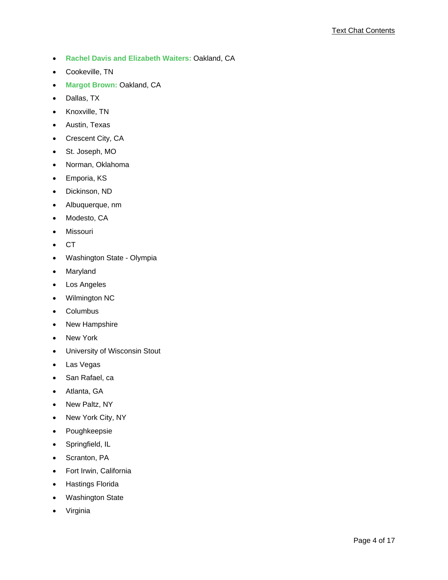- **Rachel Davis and Elizabeth Waiters:** Oakland, CA
- Cookeville, TN
- **Margot Brown:** Oakland, CA
- Dallas, TX
- Knoxville, TN
- Austin, Texas
- Crescent City, CA
- St. Joseph, MO
- Norman, Oklahoma
- Emporia, KS
- Dickinson, ND
- Albuquerque, nm
- Modesto, CA
- Missouri
- CT
- Washington State Olympia
- Maryland
- Los Angeles
- Wilmington NC
- **Columbus**
- New Hampshire
- New York
- University of Wisconsin Stout
- Las Vegas
- San Rafael, ca
- Atlanta, GA
- New Paltz, NY
- New York City, NY
- Poughkeepsie
- Springfield, IL
- Scranton, PA
- Fort Irwin, California
- Hastings Florida
- Washington State
- Virginia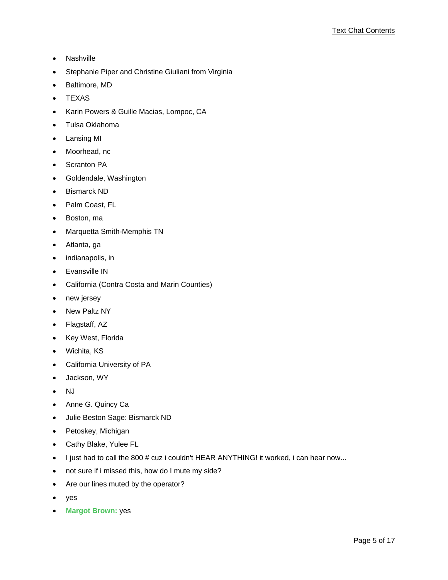- Nashville
- Stephanie Piper and Christine Giuliani from Virginia
- Baltimore, MD
- TEXAS
- Karin Powers & Guille Macias, Lompoc, CA
- Tulsa Oklahoma
- Lansing MI
- Moorhead, nc
- Scranton PA
- Goldendale, Washington
- Bismarck ND
- Palm Coast, FL
- Boston, ma
- Marquetta Smith-Memphis TN
- Atlanta, ga
- indianapolis, in
- Evansville IN
- California (Contra Costa and Marin Counties)
- new jersey
- New Paltz NY
- Flagstaff, AZ
- Key West, Florida
- Wichita, KS
- California University of PA
- Jackson, WY
- NJ
- Anne G. Quincy Ca
- Julie Beston Sage: Bismarck ND
- Petoskey, Michigan
- Cathy Blake, Yulee FL
- I just had to call the 800 # cuz i couldn't HEAR ANYTHING! it worked, i can hear now...
- not sure if i missed this, how do I mute my side?
- Are our lines muted by the operator?
- yes
- **Margot Brown:** yes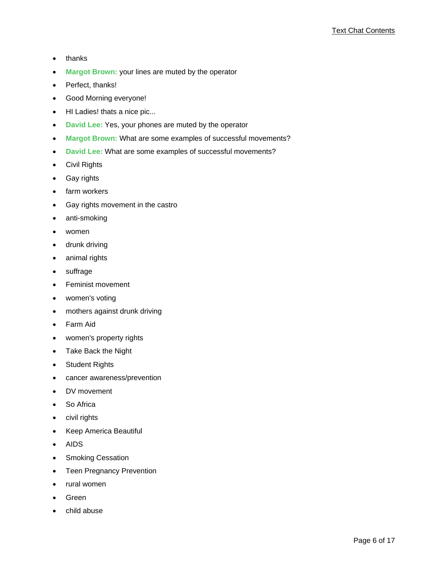- thanks
- **Margot Brown:** your lines are muted by the operator
- Perfect, thanks!
- Good Morning everyone!
- HI Ladies! thats a nice pic...
- **David Lee:** Yes, your phones are muted by the operator
- **Margot Brown:** What are some examples of successful movements?
- **David Lee:** What are some examples of successful movements?
- Civil Rights
- Gay rights
- farm workers
- Gay rights movement in the castro
- anti-smoking
- women
- drunk driving
- animal rights
- suffrage
- Feminist movement
- women's voting
- mothers against drunk driving
- Farm Aid
- women's property rights
- Take Back the Night
- Student Rights
- cancer awareness/prevention
- DV movement
- So Africa
- civil rights
- Keep America Beautiful
- AIDS
- Smoking Cessation
- Teen Pregnancy Prevention
- rural women
- Green
- child abuse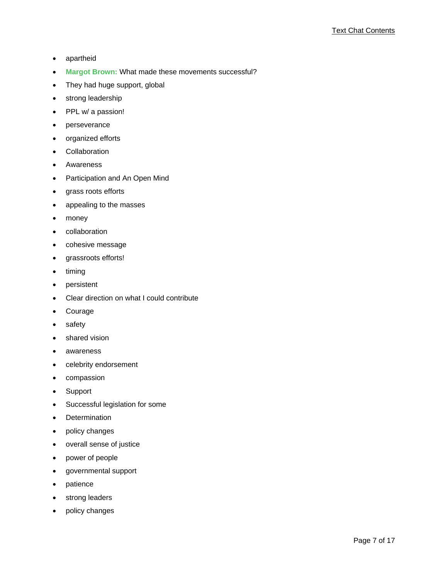- apartheid
- **Margot Brown:** What made these movements successful?
- They had huge support, global
- strong leadership
- PPL w/ a passion!
- perseverance
- organized efforts
- Collaboration
- Awareness
- Participation and An Open Mind
- grass roots efforts
- appealing to the masses
- money
- collaboration
- cohesive message
- grassroots efforts!
- timing
- persistent
- Clear direction on what I could contribute
- **Courage**
- safety
- shared vision
- awareness
- celebrity endorsement
- compassion
- Support
- Successful legislation for some
- Determination
- policy changes
- overall sense of justice
- power of people
- governmental support
- patience
- strong leaders
- policy changes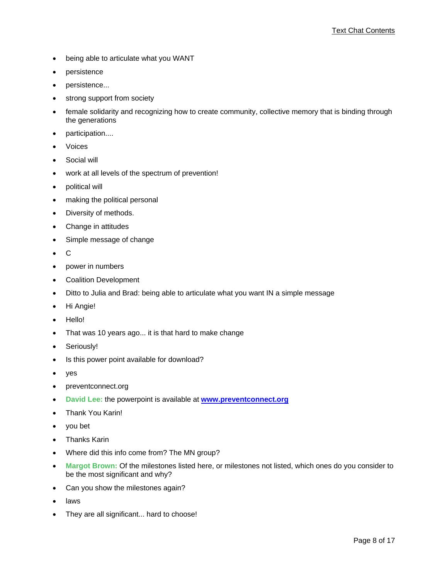- being able to articulate what you WANT
- persistence
- persistence...
- strong support from society
- female solidarity and recognizing how to create community, collective memory that is binding through the generations
- participation....
- **Voices**
- Social will
- work at all levels of the spectrum of prevention!
- political will
- making the political personal
- Diversity of methods.
- Change in attitudes
- Simple message of change
- C
- power in numbers
- Coalition Development
- Ditto to Julia and Brad: being able to articulate what you want IN a simple message
- Hi Angie!
- Hello!
- That was 10 years ago... it is that hard to make change
- Seriously!
- Is this power point available for download?
- yes
- preventconnect.org
- **David Lee:** the powerpoint is available at **www.preventconnect.org**
- Thank You Karin!
- you bet
- Thanks Karin
- Where did this info come from? The MN group?
- **Margot Brown:** Of the milestones listed here, or milestones not listed, which ones do you consider to be the most significant and why?
- Can you show the milestones again?
- **laws**
- They are all significant... hard to choose!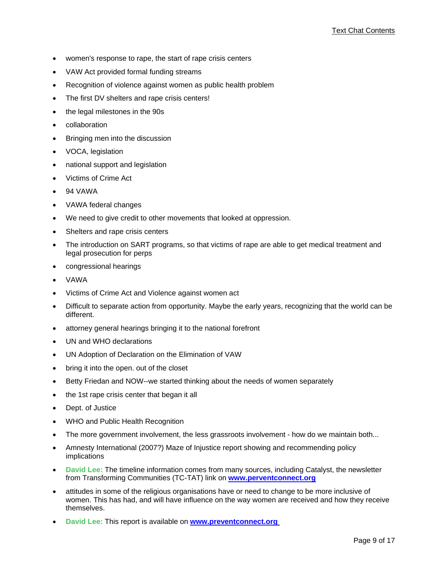- women's response to rape, the start of rape crisis centers
- VAW Act provided formal funding streams
- Recognition of violence against women as public health problem
- The first DV shelters and rape crisis centers!
- the legal milestones in the 90s
- collaboration
- Bringing men into the discussion
- VOCA, legislation
- national support and legislation
- Victims of Crime Act
- 94 VAWA
- VAWA federal changes
- We need to give credit to other movements that looked at oppression.
- Shelters and rape crisis centers
- The introduction on SART programs, so that victims of rape are able to get medical treatment and legal prosecution for perps
- congressional hearings
- VAWA
- Victims of Crime Act and Violence against women act
- Difficult to separate action from opportunity. Maybe the early years, recognizing that the world can be different.
- attorney general hearings bringing it to the national forefront
- UN and WHO declarations
- UN Adoption of Declaration on the Elimination of VAW
- bring it into the open. out of the closet
- Betty Friedan and NOW--we started thinking about the needs of women separately
- the 1st rape crisis center that began it all
- Dept. of Justice
- WHO and Public Health Recognition
- The more government involvement, the less grassroots involvement how do we maintain both...
- Amnesty International (2007?) Maze of Injustice report showing and recommending policy implications
- **David Lee:** The timeline information comes from many sources, including Catalyst, the newsletter from Transforming Communities (TC-TAT) link on **www.perventconnect.org**
- attitudes in some of the religious organisations have or need to change to be more inclusive of women. This has had, and will have influence on the way women are received and how they receive themselves.
- **David Lee:** This report is available on **www.preventconnect.org**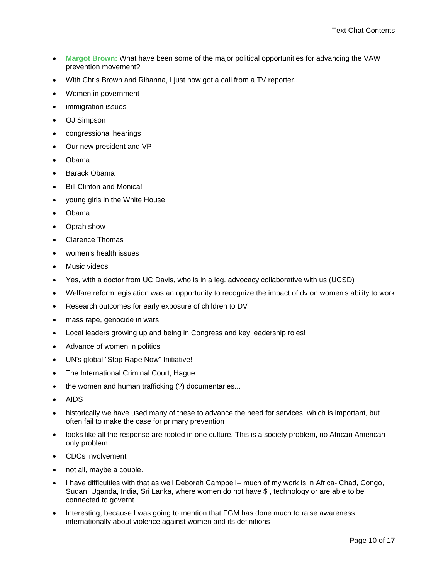- **Margot Brown:** What have been some of the major political opportunities for advancing the VAW prevention movement?
- With Chris Brown and Rihanna, I just now got a call from a TV reporter...
- Women in government
- immigration issues
- OJ Simpson
- congressional hearings
- Our new president and VP
- Obama
- Barack Obama
- **Bill Clinton and Monica!**
- young girls in the White House
- Obama
- Oprah show
- Clarence Thomas
- women's health issues
- Music videos
- Yes, with a doctor from UC Davis, who is in a leg. advocacy collaborative with us (UCSD)
- Welfare reform legislation was an opportunity to recognize the impact of dv on women's ability to work
- Research outcomes for early exposure of children to DV
- mass rape, genocide in wars
- Local leaders growing up and being in Congress and key leadership roles!
- Advance of women in politics
- UN's global "Stop Rape Now" Initiative!
- The International Criminal Court, Hague
- the women and human trafficking (?) documentaries...
- AIDS
- historically we have used many of these to advance the need for services, which is important, but often fail to make the case for primary prevention
- looks like all the response are rooted in one culture. This is a society problem, no African American only problem
- CDCs involvement
- not all, maybe a couple.
- I have difficulties with that as well Deborah Campbell-- much of my work is in Africa- Chad, Congo, Sudan, Uganda, India, Sri Lanka, where women do not have \$ , technology or are able to be connected to governt
- Interesting, because I was going to mention that FGM has done much to raise awareness internationally about violence against women and its definitions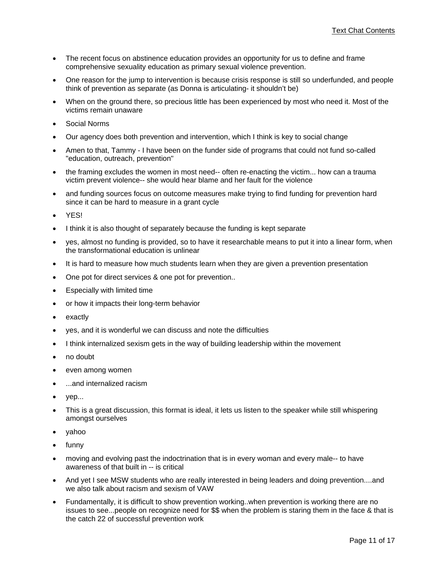- The recent focus on abstinence education provides an opportunity for us to define and frame comprehensive sexuality education as primary sexual violence prevention.
- One reason for the jump to intervention is because crisis response is still so underfunded, and people think of prevention as separate (as Donna is articulating- it shouldn't be)
- When on the ground there, so precious little has been experienced by most who need it. Most of the victims remain unaware
- Social Norms
- Our agency does both prevention and intervention, which I think is key to social change
- Amen to that, Tammy I have been on the funder side of programs that could not fund so-called "education, outreach, prevention"
- the framing excludes the women in most need-- often re-enacting the victim... how can a trauma victim prevent violence-- she would hear blame and her fault for the violence
- and funding sources focus on outcome measures make trying to find funding for prevention hard since it can be hard to measure in a grant cycle
- YES!
- I think it is also thought of separately because the funding is kept separate
- yes, almost no funding is provided, so to have it researchable means to put it into a linear form, when the transformational education is unlinear
- It is hard to measure how much students learn when they are given a prevention presentation
- One pot for direct services & one pot for prevention..
- Especially with limited time
- or how it impacts their long-term behavior
- **exactly**
- yes, and it is wonderful we can discuss and note the difficulties
- I think internalized sexism gets in the way of building leadership within the movement
- no doubt
- even among women
- ...and internalized racism
- yep...
- This is a great discussion, this format is ideal, it lets us listen to the speaker while still whispering amongst ourselves
- yahoo
- funny
- moving and evolving past the indoctrination that is in every woman and every male-- to have awareness of that built in -- is critical
- And yet I see MSW students who are really interested in being leaders and doing prevention....and we also talk about racism and sexism of VAW
- Fundamentally, it is difficult to show prevention working..when prevention is working there are no issues to see...people on recognize need for \$\$ when the problem is staring them in the face & that is the catch 22 of successful prevention work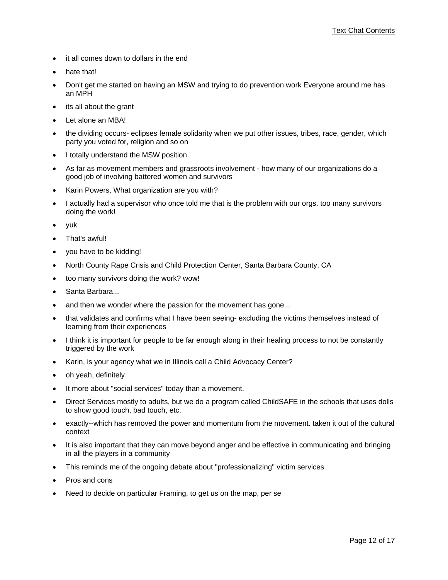- it all comes down to dollars in the end
- hate that!
- Don't get me started on having an MSW and trying to do prevention work Everyone around me has an MPH
- its all about the grant
- Let alone an MBA!
- the dividing occurs- eclipses female solidarity when we put other issues, tribes, race, gender, which party you voted for, religion and so on
- I totally understand the MSW position
- As far as movement members and grassroots involvement how many of our organizations do a good job of involving battered women and survivors
- Karin Powers, What organization are you with?
- I actually had a supervisor who once told me that is the problem with our orgs. too many survivors doing the work!
- yuk
- That's awful!
- you have to be kidding!
- North County Rape Crisis and Child Protection Center, Santa Barbara County, CA
- too many survivors doing the work? wow!
- Santa Barbara...
- and then we wonder where the passion for the movement has gone...
- that validates and confirms what I have been seeing- excluding the victims themselves instead of learning from their experiences
- I think it is important for people to be far enough along in their healing process to not be constantly triggered by the work
- Karin, is your agency what we in Illinois call a Child Advocacy Center?
- oh yeah, definitely
- It more about "social services" today than a movement.
- Direct Services mostly to adults, but we do a program called ChildSAFE in the schools that uses dolls to show good touch, bad touch, etc.
- exactly--which has removed the power and momentum from the movement. taken it out of the cultural context
- It is also important that they can move beyond anger and be effective in communicating and bringing in all the players in a community
- This reminds me of the ongoing debate about "professionalizing" victim services
- Pros and cons
- Need to decide on particular Framing, to get us on the map, per se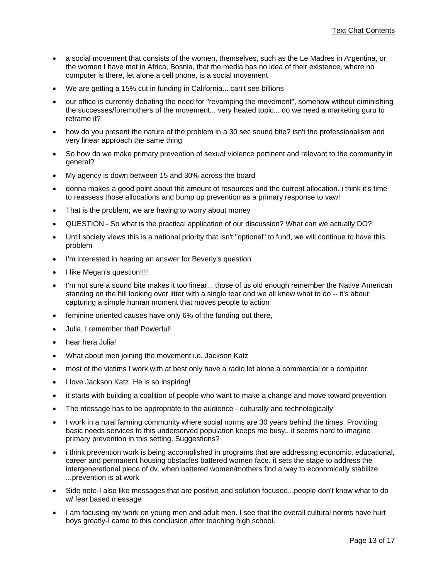- a social movement that consists of the women, themselves, such as the Le Madres in Argentina, or the women I have met in Africa, Bosnia, that the media has no idea of their existence, where no computer is there, let alone a cell phone, is a social movement
- We are getting a 15% cut in funding in California... can't see billions
- our office is currently debating the need for "revamping the movement", somehow without diminishing the successes/foremothers of the movement... very heated topic... do we need a marketing guru to reframe it?
- how do you present the nature of the problem in a 30 sec sound bite? isn't the professionalism and very linear approach the same thing
- So how do we make primary prevention of sexual violence pertinent and relevant to the community in general?
- My agency is down between 15 and 30% across the board
- donna makes a good point about the amount of resources and the current allocation. i think it's time to reassess those allocations and bump up prevention as a primary response to vaw!
- That is the problem, we are having to worry about money
- QUESTION So what is the practical application of our discussion? What can we actually DO?
- Until society views this is a national priority that isn't "optional" to fund, we will continue to have this problem
- I'm interested in hearing an answer for Beverly's question
- I like Megan's question!!!!
- I'm not sure a sound bite makes it too linear... those of us old enough remember the Native American standing on the hill looking over litter with a single tear and we all knew what to do -- it's about capturing a simple human moment that moves people to action
- feminine oriented causes have only 6% of the funding out there,
- Julia, I remember that! Powerful!
- hear hera Julia!
- What about men joining the movement i.e. Jackson Katz
- most of the victims I work with at best only have a radio let alone a commercial or a computer
- I love Jackson Katz. He is so inspiring!
- it starts with building a coalition of people who want to make a change and move toward prevention
- The message has to be appropriate to the audience culturally and technologically
- I work in a rural farming community where social norms are 30 years behind the times. Providing basic needs services to this underserved population keeps me busy.. it seems hard to imagine primary prevention in this setting. Suggestions?
- i think prevention work is being accomplished in programs that are addressing economic, educational, career and permanent housing obstacles battered women face. it sets the stage to address the intergenerational piece of dv. when battered women/mothers find a way to economically stabilize ...prevention is at work
- Side note-I also like messages that are positive and solution focused...people don't know what to do w/ fear based message
- I am focusing my work on young men and adult men. I see that the overall cultural norms have hurt boys greatly-I came to this conclusion after teaching high school.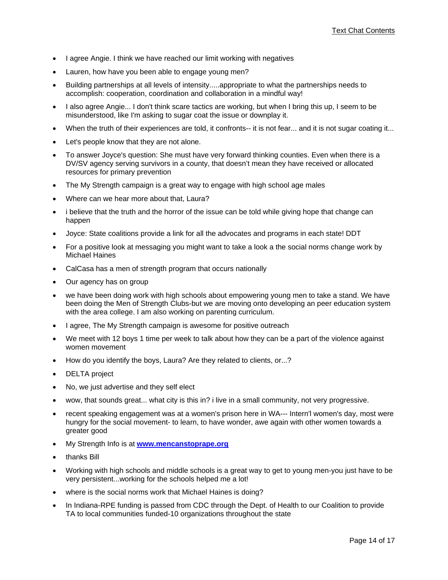- I agree Angie. I think we have reached our limit working with negatives
- Lauren, how have you been able to engage young men?
- Building partnerships at all levels of intensity.....appropriate to what the partnerships needs to accomplish: cooperation, coordination and collaboration in a mindful way!
- I also agree Angie... I don't think scare tactics are working, but when I bring this up, I seem to be misunderstood, like I'm asking to sugar coat the issue or downplay it.
- When the truth of their experiences are told, it confronts-- it is not fear... and it is not sugar coating it...
- Let's people know that they are not alone.
- To answer Joyce's question: She must have very forward thinking counties. Even when there is a DV/SV agency serving survivors in a county, that doesn't mean they have received or allocated resources for primary prevention
- The My Strength campaign is a great way to engage with high school age males
- Where can we hear more about that, Laura?
- i believe that the truth and the horror of the issue can be told while giving hope that change can happen
- Joyce: State coalitions provide a link for all the advocates and programs in each state! DDT
- For a positive look at messaging you might want to take a look a the social norms change work by Michael Haines
- CalCasa has a men of strength program that occurs nationally
- Our agency has on group
- we have been doing work with high schools about empowering young men to take a stand. We have been doing the Men of Strength Clubs-but we are moving onto developing an peer education system with the area college. I am also working on parenting curriculum.
- I agree, The My Strength campaign is awesome for positive outreach
- We meet with 12 boys 1 time per week to talk about how they can be a part of the violence against women movement
- How do you identify the boys, Laura? Are they related to clients, or...?
- DELTA project
- No, we just advertise and they self elect
- wow, that sounds great... what city is this in? i live in a small community, not very progressive.
- recent speaking engagement was at a women's prison here in WA--- Intern'l women's day, most were hungry for the social movement- to learn, to have wonder, awe again with other women towards a greater good
- My Strength Info is at **www.mencanstoprape.org**
- thanks Bill
- Working with high schools and middle schools is a great way to get to young men-you just have to be very persistent...working for the schools helped me a lot!
- where is the social norms work that Michael Haines is doing?
- In Indiana-RPE funding is passed from CDC through the Dept. of Health to our Coalition to provide TA to local communities funded-10 organizations throughout the state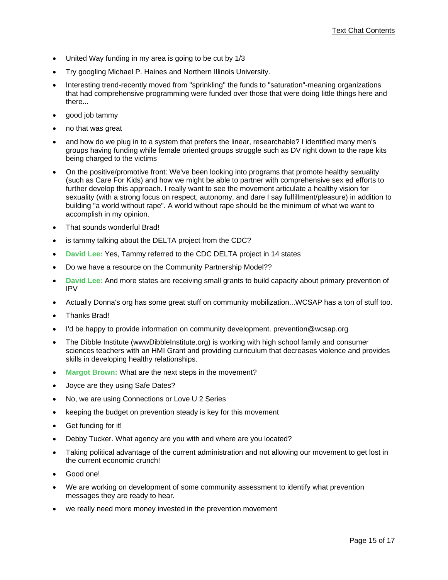- United Way funding in my area is going to be cut by 1/3
- Try googling Michael P. Haines and Northern Illinois University.
- Interesting trend-recently moved from "sprinkling" the funds to "saturation"-meaning organizations that had comprehensive programming were funded over those that were doing little things here and there...
- good job tammy
- no that was great
- and how do we plug in to a system that prefers the linear, researchable? I identified many men's groups having funding while female oriented groups struggle such as DV right down to the rape kits being charged to the victims
- On the positive/promotive front: We've been looking into programs that promote healthy sexuality (such as Care For Kids) and how we might be able to partner with comprehensive sex ed efforts to further develop this approach. I really want to see the movement articulate a healthy vision for sexuality (with a strong focus on respect, autonomy, and dare I say fulfillment/pleasure) in addition to building "a world without rape". A world without rape should be the minimum of what we want to accomplish in my opinion.
- That sounds wonderful Brad!
- is tammy talking about the DELTA project from the CDC?
- **David Lee:** Yes, Tammy referred to the CDC DELTA project in 14 states
- Do we have a resource on the Community Partnership Model??
- **David Lee:** And more states are receiving small grants to build capacity about primary prevention of IPV
- Actually Donna's org has some great stuff on community mobilization...WCSAP has a ton of stuff too.
- Thanks Brad!
- I'd be happy to provide information on community development. prevention@wcsap.org
- The Dibble Institute (wwwDibbleInstitute.org) is working with high school family and consumer sciences teachers with an HMI Grant and providing curriculum that decreases violence and provides skills in developing healthy relationships.
- **Margot Brown:** What are the next steps in the movement?
- Joyce are they using Safe Dates?
- No, we are using Connections or Love U 2 Series
- keeping the budget on prevention steady is key for this movement
- Get funding for it!
- Debby Tucker. What agency are you with and where are you located?
- Taking political advantage of the current administration and not allowing our movement to get lost in the current economic crunch!
- Good one!
- We are working on development of some community assessment to identify what prevention messages they are ready to hear.
- we really need more money invested in the prevention movement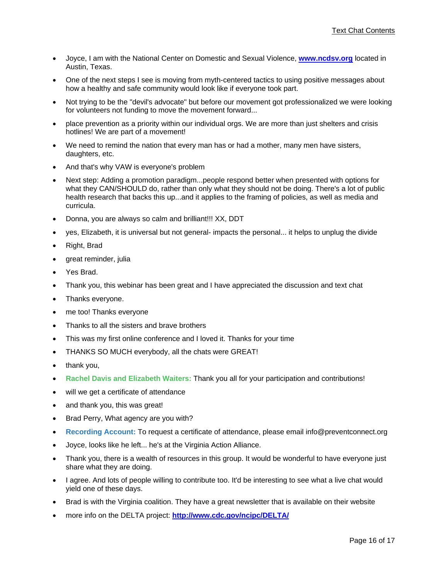- Joyce, I am with the National Center on Domestic and Sexual Violence, **www.ncdsv.org** located in Austin, Texas.
- One of the next steps I see is moving from myth-centered tactics to using positive messages about how a healthy and safe community would look like if everyone took part.
- Not trying to be the "devil's advocate" but before our movement got professionalized we were looking for volunteers not funding to move the movement forward...
- place prevention as a priority within our individual orgs. We are more than just shelters and crisis hotlines! We are part of a movement!
- We need to remind the nation that every man has or had a mother, many men have sisters, daughters, etc.
- And that's why VAW is everyone's problem
- Next step: Adding a promotion paradigm...people respond better when presented with options for what they CAN/SHOULD do, rather than only what they should not be doing. There's a lot of public health research that backs this up...and it applies to the framing of policies, as well as media and curricula.
- Donna, you are always so calm and brilliant!!! XX, DDT
- yes, Elizabeth, it is universal but not general- impacts the personal... it helps to unplug the divide
- Right, Brad
- great reminder, julia
- Yes Brad.
- Thank you, this webinar has been great and I have appreciated the discussion and text chat
- Thanks everyone.
- me too! Thanks everyone
- Thanks to all the sisters and brave brothers
- This was my first online conference and I loved it. Thanks for your time
- THANKS SO MUCH everybody, all the chats were GREAT!
- thank you,
- **Rachel Davis and Elizabeth Waiters:** Thank you all for your participation and contributions!
- will we get a certificate of attendance
- and thank you, this was great!
- Brad Perry, What agency are you with?
- **Recording Account:** To request a certificate of attendance, please email info@preventconnect.org
- Joyce, looks like he left... he's at the Virginia Action Alliance.
- Thank you, there is a wealth of resources in this group. It would be wonderful to have everyone just share what they are doing.
- I agree. And lots of people willing to contribute too. It'd be interesting to see what a live chat would yield one of these days.
- Brad is with the Virginia coalition. They have a great newsletter that is available on their website
- more info on the DELTA project: **http://www.cdc.gov/ncipc/DELTA/**